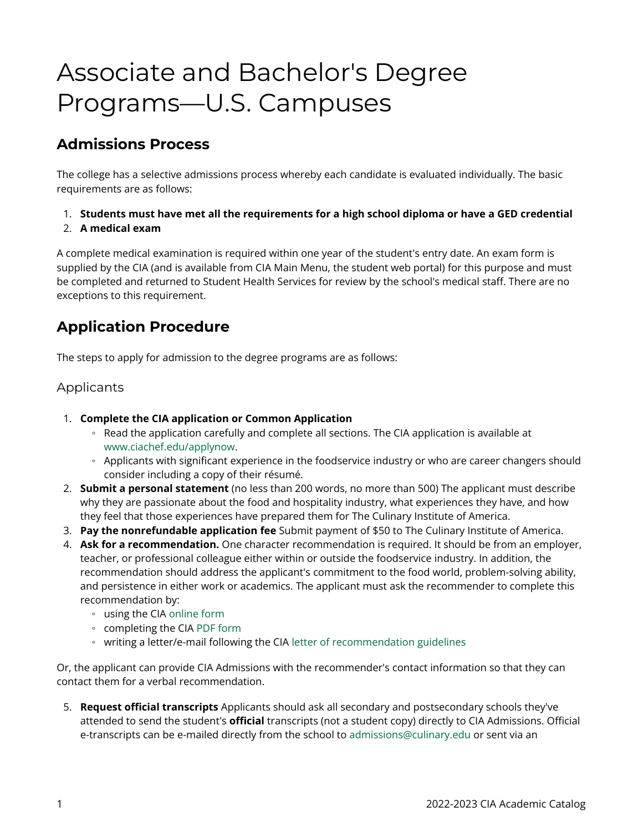# Associate and Bachelor's Degree Programs—U.S. Campuses

## **Admissions Process**

The college has a selective admissions process whereby each candidate is evaluated individually. The basic requirements are as follows:

- 1. **Students must have met all the requirements for a high school diploma or have a GED credential**
- 2. **A medical exam**

A complete medical examination is required within one year of the student's entry date. An exam form is supplied by the CIA (and is available from CIA Main Menu, the student web portal) for this purpose and must be completed and returned to Student Health Services for review by the school's medical staff. There are no exceptions to this requirement.

## **Application Procedure**

The steps to apply for admission to the degree programs are as follows:

#### Applicants

- 1. **Complete the CIA application or Common Application** 
	- Read the application carefully and complete all sections. The CIA application is available at [www.ciachef.edu/applynow.](https://www.ciachef.edu/applynow)
	- Applicants with significant experience in the foodservice industry or who are career changers should consider including a copy of their résumé.
- 2. **Submit a personal statement** (no less than 200 words, no more than 500) The applicant must describe why they are passionate about the food and hospitality industry, what experiences they have, and how they feel that those experiences have prepared them for The Culinary Institute of America.
- 3. **Pay the nonrefundable application fee** Submit payment of \$50 to The Culinary Institute of America.
- 4. **Ask for a recommendation.** One character recommendation is required. It should be from an employer, teacher, or professional colleague either within or outside the foodservice industry. In addition, the recommendation should address the applicant's commitment to the food world, problem-solving ability, and persistence in either work or academics. The applicant must ask the recommender to complete this recommendation by:
	- using the CIA [online form](https://secure.ciachef.edu/secure/recommendation.html)
	- completing the CIA [PDF form](https://www.ciachef.edu/uploadedFiles/Pages/Admissions_and_Financial_Aid/Applying_to_CIA/RecommendationForm.pdf)
	- writing a letter/e-mail following the CIA [letter of recommendation guidelines](https://www.ciachef.edu/uploadedFiles/Pages/Admissions_and_Financial_Aid/Applying_to_CIA/letter-recommendation-key-points.pdf)

Or, the applicant can provide CIA Admissions with the recommender's contact information so that they can contact them for a verbal recommendation.

5. **Request official transcripts** Applicants should ask all secondary and postsecondary schools they've attended to send the student's **official** transcripts (not a student copy) directly to CIA Admissions. Official e-transcripts can be e-mailed directly from the school to [admissions@culinary.edu](mailto:admissions@culinary.edu) or sent via an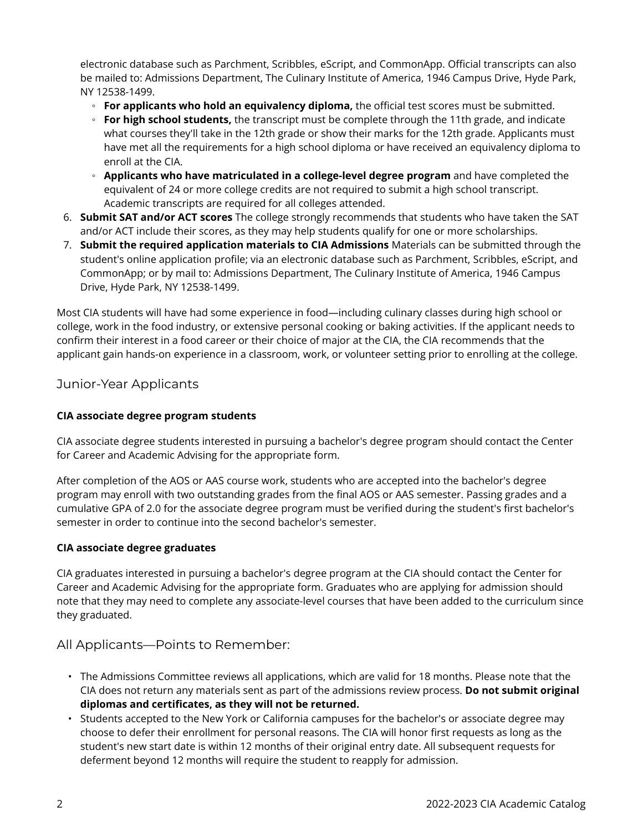electronic database such as Parchment, Scribbles, eScript, and CommonApp. Official transcripts can also be mailed to: Admissions Department, The Culinary Institute of America, 1946 Campus Drive, Hyde Park, NY 12538-1499.

- **For applicants who hold an equivalency diploma,** the official test scores must be submitted.
- **For high school students,** the transcript must be complete through the 11th grade, and indicate what courses they'll take in the 12th grade or show their marks for the 12th grade. Applicants must have met all the requirements for a high school diploma or have received an equivalency diploma to enroll at the CIA.
- **Applicants who have matriculated in a college-level degree program** and have completed the equivalent of 24 or more college credits are not required to submit a high school transcript. Academic transcripts are required for all colleges attended.
- 6. **Submit SAT and/or ACT scores** The college strongly recommends that students who have taken the SAT and/or ACT include their scores, as they may help students qualify for one or more scholarships.
- 7. **Submit the required application materials to CIA Admissions** Materials can be submitted through the student's online application profile; via an electronic database such as Parchment, Scribbles, eScript, and CommonApp; or by mail to: Admissions Department, The Culinary Institute of America, 1946 Campus Drive, Hyde Park, NY 12538-1499.

Most CIA students will have had some experience in food—including culinary classes during high school or college, work in the food industry, or extensive personal cooking or baking activities. If the applicant needs to confirm their interest in a food career or their choice of major at the CIA, the CIA recommends that the applicant gain hands-on experience in a classroom, work, or volunteer setting prior to enrolling at the college.

#### Junior-Year Applicants

#### **CIA associate degree program students**

CIA associate degree students interested in pursuing a bachelor's degree program should contact the Center for Career and Academic Advising for the appropriate form.

After completion of the AOS or AAS course work, students who are accepted into the bachelor's degree program may enroll with two outstanding grades from the final AOS or AAS semester. Passing grades and a cumulative GPA of 2.0 for the associate degree program must be verified during the student's first bachelor's semester in order to continue into the second bachelor's semester.

#### **CIA associate degree graduates**

CIA graduates interested in pursuing a bachelor's degree program at the CIA should contact the Center for Career and Academic Advising for the appropriate form. Graduates who are applying for admission should note that they may need to complete any associate-level courses that have been added to the curriculum since they graduated.

#### All Applicants—Points to Remember:

- The Admissions Committee reviews all applications, which are valid for 18 months. Please note that the CIA does not return any materials sent as part of the admissions review process. **Do not submit original diplomas and certificates, as they will not be returned.**
- Students accepted to the New York or California campuses for the bachelor's or associate degree may choose to defer their enrollment for personal reasons. The CIA will honor first requests as long as the student's new start date is within 12 months of their original entry date. All subsequent requests for deferment beyond 12 months will require the student to reapply for admission.